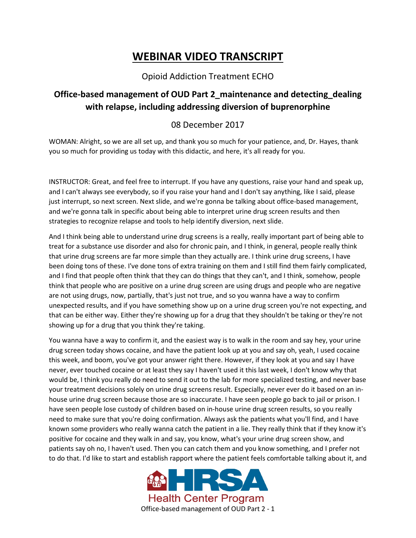## **WEBINAR VIDEO TRANSCRIPT**

## Opioid Addiction Treatment ECHO

## **Office-based management of OUD Part 2\_maintenance and detecting\_dealing with relapse, including addressing diversion of buprenorphine**

## 08 December 2017

WOMAN: Alright, so we are all set up, and thank you so much for your patience, and, Dr. Hayes, thank you so much for providing us today with this didactic, and here, it's all ready for you.

INSTRUCTOR: Great, and feel free to interrupt. If you have any questions, raise your hand and speak up, and I can't always see everybody, so if you raise your hand and I don't say anything, like I said, please just interrupt, so next screen. Next slide, and we're gonna be talking about office-based management, and we're gonna talk in specific about being able to interpret urine drug screen results and then strategies to recognize relapse and tools to help identify diversion, next slide.

And I think being able to understand urine drug screens is a really, really important part of being able to treat for a substance use disorder and also for chronic pain, and I think, in general, people really think that urine drug screens are far more simple than they actually are. I think urine drug screens, I have been doing tons of these. I've done tons of extra training on them and I still find them fairly complicated, and I find that people often think that they can do things that they can't, and I think, somehow, people think that people who are positive on a urine drug screen are using drugs and people who are negative are not using drugs, now, partially, that's just not true, and so you wanna have a way to confirm unexpected results, and if you have something show up on a urine drug screen you're not expecting, and that can be either way. Either they're showing up for a drug that they shouldn't be taking or they're not showing up for a drug that you think they're taking.

You wanna have a way to confirm it, and the easiest way is to walk in the room and say hey, your urine drug screen today shows cocaine, and have the patient look up at you and say oh, yeah, I used cocaine this week, and boom, you've got your answer right there. However, if they look at you and say I have never, ever touched cocaine or at least they say I haven't used it this last week, I don't know why that would be, I think you really do need to send it out to the lab for more specialized testing, and never base your treatment decisions solely on urine drug screens result. Especially, never ever do it based on an inhouse urine drug screen because those are so inaccurate. I have seen people go back to jail or prison. I have seen people lose custody of children based on in-house urine drug screen results, so you really need to make sure that you're doing confirmation. Always ask the patients what you'll find, and I have known some providers who really wanna catch the patient in a lie. They really think that if they know it's positive for cocaine and they walk in and say, you know, what's your urine drug screen show, and patients say oh no, I haven't used. Then you can catch them and you know something, and I prefer not to do that. I'd like to start and establish rapport where the patient feels comfortable talking about it, and

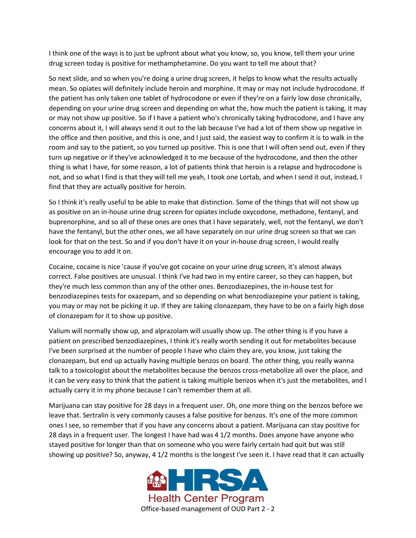I think one of the ways is to just be upfront about what you know, so, you know, tell them your urine drug screen today is positive for methamphetamine. Do you want to tell me about that?

So next slide, and so when you're doing a urine drug screen, it helps to know what the results actually mean. So opiates will definitely include heroin and morphine. It may or may not include hydrocodone. If the patient has only taken one tablet of hydrocodone or even if they're on a fairly low dose chronically, depending on your urine drug screen and depending on what the, how much the patient is taking, it may or may not show up positive. So if I have a patient who's chronically taking hydrocodone, and I have any concerns about it, I will always send it out to the lab because I've had a lot of them show up negative in the office and then positive, and this is one, and I just said, the easiest way to confirm it is to walk in the room and say to the patient, so you turned up positive. This is one that I will often send out, even if they turn up negative or if they've acknowledged it to me because of the hydrocodone, and then the other thing is what I have, for some reason, a lot of patients think that heroin is a relapse and hydrocodone is not, and so what I find is that they will tell me yeah, I took one Lortab, and when I send it out, instead, I find that they are actually positive for heroin.

So I think it's really useful to be able to make that distinction. Some of the things that will not show up as positive on an in-house urine drug screen for opiates include oxycodone, methadone, fentanyl, and buprenorphine, and so all of these ones are ones that I have separately, well, not the fentanyl, we don't have the fentanyl, but the other ones, we all have separately on our urine drug screen so that we can look for that on the test. So and if you don't have it on your in-house drug screen, I would really encourage you to add it on.

Cocaine, cocaine is nice 'cause if you've got cocaine on your urine drug screen, it's almost always correct. False positives are unusual. I think I've had two in my entire career, so they can happen, but they're much less common than any of the other ones. Benzodiazepines, the in-house test for benzodiazepines tests for oxazepam, and so depending on what benzodiazepine your patient is taking, you may or may not be picking it up. If they are taking clonazepam, they have to be on a fairly high dose of clonazepam for it to show up positive.

Valium will normally show up, and alprazolam will usually show up. The other thing is if you have a patient on prescribed benzodiazepines, I think it's really worth sending it out for metabolites because I've been surprised at the number of people I have who claim they are, you know, just taking the clonazepam, but end up actually having multiple benzos on board. The other thing, you really wanna talk to a toxicologist about the metabolites because the benzos cross-metabolize all over the place, and it can be very easy to think that the patient is taking multiple benzos when it's just the metabolites, and I actually carry it in my phone because I can't remember them at all.

Marijuana can stay positive for 28 days in a frequent user. Oh, one more thing on the benzos before we leave that. Sertralin is very commonly causes a false positive for benzos. It's one of the more common ones I see, so remember that if you have any concerns about a patient. Marijuana can stay positive for 28 days in a frequent user. The longest I have had was 4 1/2 months. Does anyone have anyone who stayed positive for longer than that on someone who you were fairly certain had quit but was still showing up positive? So, anyway, 4 1/2 months is the longest I've seen it. I have read that it can actually

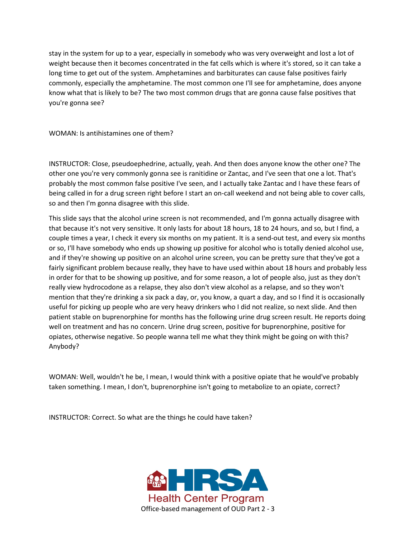stay in the system for up to a year, especially in somebody who was very overweight and lost a lot of weight because then it becomes concentrated in the fat cells which is where it's stored, so it can take a long time to get out of the system. Amphetamines and barbiturates can cause false positives fairly commonly, especially the amphetamine. The most common one I'll see for amphetamine, does anyone know what that is likely to be? The two most common drugs that are gonna cause false positives that you're gonna see?

WOMAN: Is antihistamines one of them?

INSTRUCTOR: Close, pseudoephedrine, actually, yeah. And then does anyone know the other one? The other one you're very commonly gonna see is ranitidine or Zantac, and I've seen that one a lot. That's probably the most common false positive I've seen, and I actually take Zantac and I have these fears of being called in for a drug screen right before I start an on-call weekend and not being able to cover calls, so and then I'm gonna disagree with this slide.

This slide says that the alcohol urine screen is not recommended, and I'm gonna actually disagree with that because it's not very sensitive. It only lasts for about 18 hours, 18 to 24 hours, and so, but I find, a couple times a year, I check it every six months on my patient. It is a send-out test, and every six months or so, I'll have somebody who ends up showing up positive for alcohol who is totally denied alcohol use, and if they're showing up positive on an alcohol urine screen, you can be pretty sure that they've got a fairly significant problem because really, they have to have used within about 18 hours and probably less in order for that to be showing up positive, and for some reason, a lot of people also, just as they don't really view hydrocodone as a relapse, they also don't view alcohol as a relapse, and so they won't mention that they're drinking a six pack a day, or, you know, a quart a day, and so I find it is occasionally useful for picking up people who are very heavy drinkers who I did not realize, so next slide. And then patient stable on buprenorphine for months has the following urine drug screen result. He reports doing well on treatment and has no concern. Urine drug screen, positive for buprenorphine, positive for opiates, otherwise negative. So people wanna tell me what they think might be going on with this? Anybody?

WOMAN: Well, wouldn't he be, I mean, I would think with a positive opiate that he would've probably taken something. I mean, I don't, buprenorphine isn't going to metabolize to an opiate, correct?

INSTRUCTOR: Correct. So what are the things he could have taken?

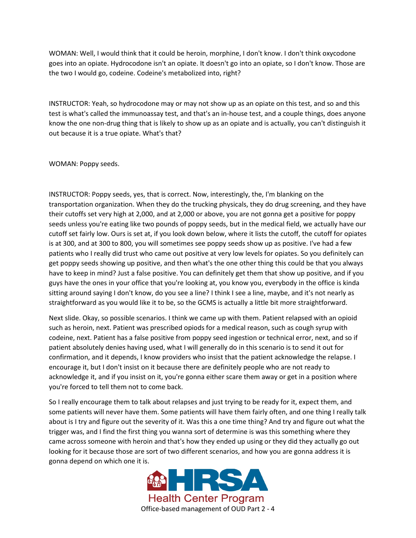WOMAN: Well, I would think that it could be heroin, morphine, I don't know. I don't think oxycodone goes into an opiate. Hydrocodone isn't an opiate. It doesn't go into an opiate, so I don't know. Those are the two I would go, codeine. Codeine's metabolized into, right?

INSTRUCTOR: Yeah, so hydrocodone may or may not show up as an opiate on this test, and so and this test is what's called the immunoassay test, and that's an in-house test, and a couple things, does anyone know the one non-drug thing that is likely to show up as an opiate and is actually, you can't distinguish it out because it is a true opiate. What's that?

WOMAN: Poppy seeds.

INSTRUCTOR: Poppy seeds, yes, that is correct. Now, interestingly, the, I'm blanking on the transportation organization. When they do the trucking physicals, they do drug screening, and they have their cutoffs set very high at 2,000, and at 2,000 or above, you are not gonna get a positive for poppy seeds unless you're eating like two pounds of poppy seeds, but in the medical field, we actually have our cutoff set fairly low. Ours is set at, if you look down below, where it lists the cutoff, the cutoff for opiates is at 300, and at 300 to 800, you will sometimes see poppy seeds show up as positive. I've had a few patients who I really did trust who came out positive at very low levels for opiates. So you definitely can get poppy seeds showing up positive, and then what's the one other thing this could be that you always have to keep in mind? Just a false positive. You can definitely get them that show up positive, and if you guys have the ones in your office that you're looking at, you know you, everybody in the office is kinda sitting around saying I don't know, do you see a line? I think I see a line, maybe, and it's not nearly as straightforward as you would like it to be, so the GCMS is actually a little bit more straightforward.

Next slide. Okay, so possible scenarios. I think we came up with them. Patient relapsed with an opioid such as heroin, next. Patient was prescribed opiods for a medical reason, such as cough syrup with codeine, next. Patient has a false positive from poppy seed ingestion or technical error, next, and so if patient absolutely denies having used, what I will generally do in this scenario is to send it out for confirmation, and it depends, I know providers who insist that the patient acknowledge the relapse. I encourage it, but I don't insist on it because there are definitely people who are not ready to acknowledge it, and if you insist on it, you're gonna either scare them away or get in a position where you're forced to tell them not to come back.

So I really encourage them to talk about relapses and just trying to be ready for it, expect them, and some patients will never have them. Some patients will have them fairly often, and one thing I really talk about is I try and figure out the severity of it. Was this a one time thing? And try and figure out what the trigger was, and I find the first thing you wanna sort of determine is was this something where they came across someone with heroin and that's how they ended up using or they did they actually go out looking for it because those are sort of two different scenarios, and how you are gonna address it is gonna depend on which one it is.

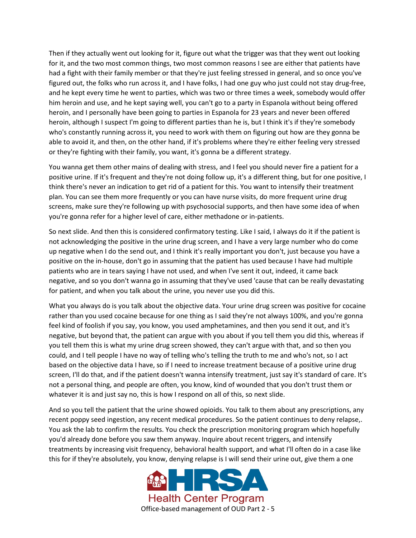Then if they actually went out looking for it, figure out what the trigger was that they went out looking for it, and the two most common things, two most common reasons I see are either that patients have had a fight with their family member or that they're just feeling stressed in general, and so once you've figured out, the folks who run across it, and I have folks, I had one guy who just could not stay drug-free, and he kept every time he went to parties, which was two or three times a week, somebody would offer him heroin and use, and he kept saying well, you can't go to a party in Espanola without being offered heroin, and I personally have been going to parties in Espanola for 23 years and never been offered heroin, although I suspect I'm going to different parties than he is, but I think it's if they're somebody who's constantly running across it, you need to work with them on figuring out how are they gonna be able to avoid it, and then, on the other hand, if it's problems where they're either feeling very stressed or they're fighting with their family, you want, it's gonna be a different strategy.

You wanna get them other mains of dealing with stress, and I feel you should never fire a patient for a positive urine. If it's frequent and they're not doing follow up, it's a different thing, but for one positive, I think there's never an indication to get rid of a patient for this. You want to intensify their treatment plan. You can see them more frequently or you can have nurse visits, do more frequent urine drug screens, make sure they're following up with psychosocial supports, and then have some idea of when you're gonna refer for a higher level of care, either methadone or in-patients.

So next slide. And then this is considered confirmatory testing. Like I said, I always do it if the patient is not acknowledging the positive in the urine drug screen, and I have a very large number who do come up negative when I do the send out, and I think it's really important you don't, just because you have a positive on the in-house, don't go in assuming that the patient has used because I have had multiple patients who are in tears saying I have not used, and when I've sent it out, indeed, it came back negative, and so you don't wanna go in assuming that they've used 'cause that can be really devastating for patient, and when you talk about the urine, you never use you did this.

What you always do is you talk about the objective data. Your urine drug screen was positive for cocaine rather than you used cocaine because for one thing as I said they're not always 100%, and you're gonna feel kind of foolish if you say, you know, you used amphetamines, and then you send it out, and it's negative, but beyond that, the patient can argue with you about if you tell them you did this, whereas if you tell them this is what my urine drug screen showed, they can't argue with that, and so then you could, and I tell people I have no way of telling who's telling the truth to me and who's not, so I act based on the objective data I have, so if I need to increase treatment because of a positive urine drug screen, I'll do that, and if the patient doesn't wanna intensify treatment, just say it's standard of care. It's not a personal thing, and people are often, you know, kind of wounded that you don't trust them or whatever it is and just say no, this is how I respond on all of this, so next slide.

And so you tell the patient that the urine showed opioids. You talk to them about any prescriptions, any recent poppy seed ingestion, any recent medical procedures. So the patient continues to deny relapse,. You ask the lab to confirm the results. You check the prescription monitoring program which hopefully you'd already done before you saw them anyway. Inquire about recent triggers, and intensify treatments by increasing visit frequency, behavioral health support, and what I'll often do in a case like this for if they're absolutely, you know, denying relapse is I will send their urine out, give them a one

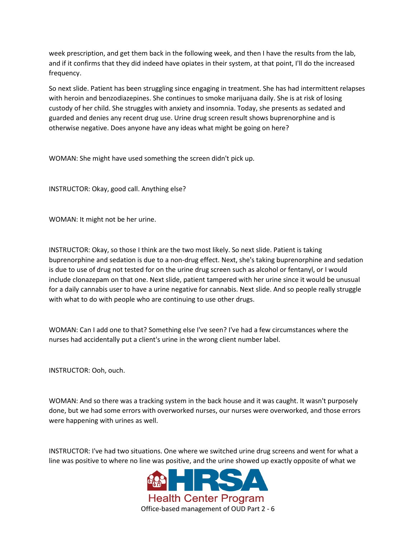week prescription, and get them back in the following week, and then I have the results from the lab, and if it confirms that they did indeed have opiates in their system, at that point, I'll do the increased frequency.

So next slide. Patient has been struggling since engaging in treatment. She has had intermittent relapses with heroin and benzodiazepines. She continues to smoke marijuana daily. She is at risk of losing custody of her child. She struggles with anxiety and insomnia. Today, she presents as sedated and guarded and denies any recent drug use. Urine drug screen result shows buprenorphine and is otherwise negative. Does anyone have any ideas what might be going on here?

WOMAN: She might have used something the screen didn't pick up.

INSTRUCTOR: Okay, good call. Anything else?

WOMAN: It might not be her urine.

INSTRUCTOR: Okay, so those I think are the two most likely. So next slide. Patient is taking buprenorphine and sedation is due to a non-drug effect. Next, she's taking buprenorphine and sedation is due to use of drug not tested for on the urine drug screen such as alcohol or fentanyl, or I would include clonazepam on that one. Next slide, patient tampered with her urine since it would be unusual for a daily cannabis user to have a urine negative for cannabis. Next slide. And so people really struggle with what to do with people who are continuing to use other drugs.

WOMAN: Can I add one to that? Something else I've seen? I've had a few circumstances where the nurses had accidentally put a client's urine in the wrong client number label.

INSTRUCTOR: Ooh, ouch.

WOMAN: And so there was a tracking system in the back house and it was caught. It wasn't purposely done, but we had some errors with overworked nurses, our nurses were overworked, and those errors were happening with urines as well.

INSTRUCTOR: I've had two situations. One where we switched urine drug screens and went for what a line was positive to where no line was positive, and the urine showed up exactly opposite of what we

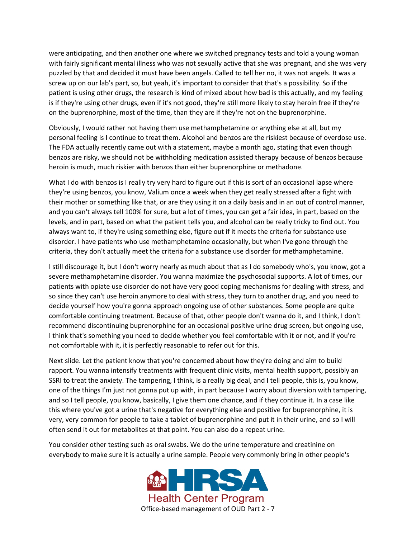were anticipating, and then another one where we switched pregnancy tests and told a young woman with fairly significant mental illness who was not sexually active that she was pregnant, and she was very puzzled by that and decided it must have been angels. Called to tell her no, it was not angels. It was a screw up on our lab's part, so, but yeah, it's important to consider that that's a possibility. So if the patient is using other drugs, the research is kind of mixed about how bad is this actually, and my feeling is if they're using other drugs, even if it's not good, they're still more likely to stay heroin free if they're on the buprenorphine, most of the time, than they are if they're not on the buprenorphine.

Obviously, I would rather not having them use methamphetamine or anything else at all, but my personal feeling is I continue to treat them. Alcohol and benzos are the riskiest because of overdose use. The FDA actually recently came out with a statement, maybe a month ago, stating that even though benzos are risky, we should not be withholding medication assisted therapy because of benzos because heroin is much, much riskier with benzos than either buprenorphine or methadone.

What I do with benzos is I really try very hard to figure out if this is sort of an occasional lapse where they're using benzos, you know, Valium once a week when they get really stressed after a fight with their mother or something like that, or are they using it on a daily basis and in an out of control manner, and you can't always tell 100% for sure, but a lot of times, you can get a fair idea, in part, based on the levels, and in part, based on what the patient tells you, and alcohol can be really tricky to find out. You always want to, if they're using something else, figure out if it meets the criteria for substance use disorder. I have patients who use methamphetamine occasionally, but when I've gone through the criteria, they don't actually meet the criteria for a substance use disorder for methamphetamine.

I still discourage it, but I don't worry nearly as much about that as I do somebody who's, you know, got a severe methamphetamine disorder. You wanna maximize the psychosocial supports. A lot of times, our patients with opiate use disorder do not have very good coping mechanisms for dealing with stress, and so since they can't use heroin anymore to deal with stress, they turn to another drug, and you need to decide yourself how you're gonna approach ongoing use of other substances. Some people are quite comfortable continuing treatment. Because of that, other people don't wanna do it, and I think, I don't recommend discontinuing buprenorphine for an occasional positive urine drug screen, but ongoing use, I think that's something you need to decide whether you feel comfortable with it or not, and if you're not comfortable with it, it is perfectly reasonable to refer out for this.

Next slide. Let the patient know that you're concerned about how they're doing and aim to build rapport. You wanna intensify treatments with frequent clinic visits, mental health support, possibly an SSRI to treat the anxiety. The tampering, I think, is a really big deal, and I tell people, this is, you know, one of the things I'm just not gonna put up with, in part because I worry about diversion with tampering, and so I tell people, you know, basically, I give them one chance, and if they continue it. In a case like this where you've got a urine that's negative for everything else and positive for buprenorphine, it is very, very common for people to take a tablet of buprenorphine and put it in their urine, and so I will often send it out for metabolites at that point. You can also do a repeat urine.

You consider other testing such as oral swabs. We do the urine temperature and creatinine on everybody to make sure it is actually a urine sample. People very commonly bring in other people's

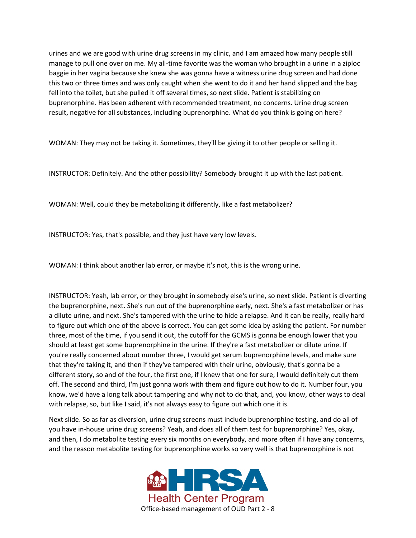urines and we are good with urine drug screens in my clinic, and I am amazed how many people still manage to pull one over on me. My all-time favorite was the woman who brought in a urine in a ziploc baggie in her vagina because she knew she was gonna have a witness urine drug screen and had done this two or three times and was only caught when she went to do it and her hand slipped and the bag fell into the toilet, but she pulled it off several times, so next slide. Patient is stabilizing on buprenorphine. Has been adherent with recommended treatment, no concerns. Urine drug screen result, negative for all substances, including buprenorphine. What do you think is going on here?

WOMAN: They may not be taking it. Sometimes, they'll be giving it to other people or selling it.

INSTRUCTOR: Definitely. And the other possibility? Somebody brought it up with the last patient.

WOMAN: Well, could they be metabolizing it differently, like a fast metabolizer?

INSTRUCTOR: Yes, that's possible, and they just have very low levels.

WOMAN: I think about another lab error, or maybe it's not, this is the wrong urine.

INSTRUCTOR: Yeah, lab error, or they brought in somebody else's urine, so next slide. Patient is diverting the buprenorphine, next. She's run out of the buprenorphine early, next. She's a fast metabolizer or has a dilute urine, and next. She's tampered with the urine to hide a relapse. And it can be really, really hard to figure out which one of the above is correct. You can get some idea by asking the patient. For number three, most of the time, if you send it out, the cutoff for the GCMS is gonna be enough lower that you should at least get some buprenorphine in the urine. If they're a fast metabolizer or dilute urine. If you're really concerned about number three, I would get serum buprenorphine levels, and make sure that they're taking it, and then if they've tampered with their urine, obviously, that's gonna be a different story, so and of the four, the first one, if I knew that one for sure, I would definitely cut them off. The second and third, I'm just gonna work with them and figure out how to do it. Number four, you know, we'd have a long talk about tampering and why not to do that, and, you know, other ways to deal with relapse, so, but like I said, it's not always easy to figure out which one it is.

Next slide. So as far as diversion, urine drug screens must include buprenorphine testing, and do all of you have in-house urine drug screens? Yeah, and does all of them test for buprenorphine? Yes, okay, and then, I do metabolite testing every six months on everybody, and more often if I have any concerns, and the reason metabolite testing for buprenorphine works so very well is that buprenorphine is not

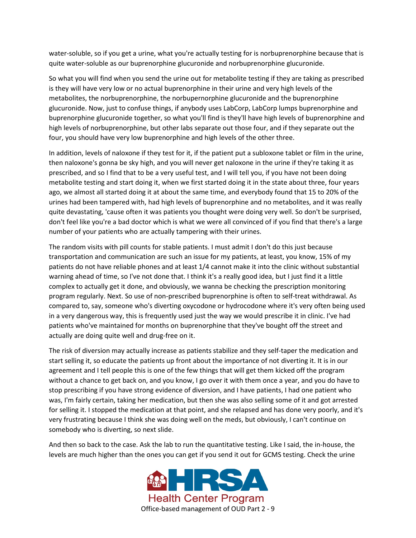water-soluble, so if you get a urine, what you're actually testing for is norbuprenorphine because that is quite water-soluble as our buprenorphine glucuronide and norbuprenorphine glucuronide.

So what you will find when you send the urine out for metabolite testing if they are taking as prescribed is they will have very low or no actual buprenorphine in their urine and very high levels of the metabolites, the norbuprenorphine, the norbupernorphine glucuronide and the buprenorphine glucuronide. Now, just to confuse things, if anybody uses LabCorp, LabCorp lumps buprenorphine and buprenorphine glucuronide together, so what you'll find is they'll have high levels of buprenorphine and high levels of norbuprenorphine, but other labs separate out those four, and if they separate out the four, you should have very low buprenorphine and high levels of the other three.

In addition, levels of naloxone if they test for it, if the patient put a subloxone tablet or film in the urine, then naloxone's gonna be sky high, and you will never get naloxone in the urine if they're taking it as prescribed, and so I find that to be a very useful test, and I will tell you, if you have not been doing metabolite testing and start doing it, when we first started doing it in the state about three, four years ago, we almost all started doing it at about the same time, and everybody found that 15 to 20% of the urines had been tampered with, had high levels of buprenorphine and no metabolites, and it was really quite devastating, 'cause often it was patients you thought were doing very well. So don't be surprised, don't feel like you're a bad doctor which is what we were all convinced of if you find that there's a large number of your patients who are actually tampering with their urines.

The random visits with pill counts for stable patients. I must admit I don't do this just because transportation and communication are such an issue for my patients, at least, you know, 15% of my patients do not have reliable phones and at least 1/4 cannot make it into the clinic without substantial warning ahead of time, so I've not done that. I think it's a really good idea, but I just find it a little complex to actually get it done, and obviously, we wanna be checking the prescription monitoring program regularly. Next. So use of non-prescribed buprenorphine is often to self-treat withdrawal. As compared to, say, someone who's diverting oxycodone or hydrocodone where it's very often being used in a very dangerous way, this is frequently used just the way we would prescribe it in clinic. I've had patients who've maintained for months on buprenorphine that they've bought off the street and actually are doing quite well and drug-free on it.

The risk of diversion may actually increase as patients stabilize and they self-taper the medication and start selling it, so educate the patients up front about the importance of not diverting it. It is in our agreement and I tell people this is one of the few things that will get them kicked off the program without a chance to get back on, and you know, I go over it with them once a year, and you do have to stop prescribing if you have strong evidence of diversion, and I have patients, I had one patient who was, I'm fairly certain, taking her medication, but then she was also selling some of it and got arrested for selling it. I stopped the medication at that point, and she relapsed and has done very poorly, and it's very frustrating because I think she was doing well on the meds, but obviously, I can't continue on somebody who is diverting, so next slide.

And then so back to the case. Ask the lab to run the quantitative testing. Like I said, the in-house, the levels are much higher than the ones you can get if you send it out for GCMS testing. Check the urine